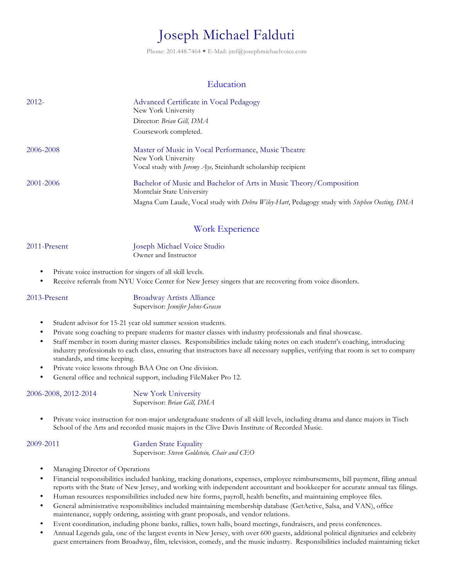# Joseph Michael Falduti

Phone: 201.448.7464 · E-Mail: jmf@josephmichaelvoice.com

## **Education**

| $2012 -$  | Advanced Certificate in Vocal Pedagogy<br>New York University                                                                               |  |  |
|-----------|---------------------------------------------------------------------------------------------------------------------------------------------|--|--|
|           | Director: Brian Gill, DMA                                                                                                                   |  |  |
|           | Coursework completed.                                                                                                                       |  |  |
| 2006-2008 | Master of Music in Vocal Performance, Music Theatre<br>New York University<br>Vocal study with Jeremy Aye, Steinhardt scholarship recipient |  |  |
| 2001-2006 | Bachelor of Music and Bachelor of Arts in Music Theory/Composition<br>Montclair State University                                            |  |  |
|           | Magna Cum Laude, Vocal study with Debra Wiley-Hart, Pedagogy study with Stephen Oosting, DMA                                                |  |  |

# Work Experience

2011-Present Joseph Michael Voice Studio Owner and Instructor

- Private voice instruction for singers of all skill levels.
- Receive referrals from NYU Voice Center for New Jersey singers that are recovering from voice disorders.

2013-Present Broadway Artists Alliance Supervisor: *Jennifer Johns-Grasso*

- Student advisor for 15-21 year old summer session students.
- Private song coaching to prepare students for master classes with industry professionals and final showcase.
- Staff member in room during master classes. Responsibilities include taking notes on each student's coaching, introducing industry professionals to each class, ensuring that instructors have all necessary supplies, verifying that room is set to company standards, and time keeping.
- Private voice lessons through BAA One on One division.
- General office and technical support, including FileMaker Pro 12.

### 2006-2008, 2012-2014 New York University

Supervisor: *Brian Gill, DMA*

• Private voice instruction for non-major undergraduate students of all skill levels, including drama and dance majors in Tisch School of the Arts and recorded music majors in the Clive Davis Institute of Recorded Music.

### 2009-2011 Garden State Equality

Supervisor: *Steven Goldstein, Chair and CEO*

- Managing Director of Operations
- Financial responsibilities included banking, tracking donations, expenses, employee reimbursements, bill payment, filing annual reports with the State of New Jersey, and working with independent accountant and bookkeeper for accurate annual tax filings.
- Human resources responsibilities included new hire forms, payroll, health benefits, and maintaining employee files.
- General administrative responsibilities included maintaining membership database (GetActive, Salsa, and VAN), office maintenance, supply ordering, assisting with grant proposals, and vendor relations.
- Event coordination, including phone banks, rallies, town halls, board meetings, fundraisers, and press conferences.
- Annual Legends gala, one of the largest events in New Jersey, with over 600 guests, additional political dignitaries and celebrity guest entertainers from Broadway, film, television, comedy, and the music industry. Responsibilities included maintaining ticket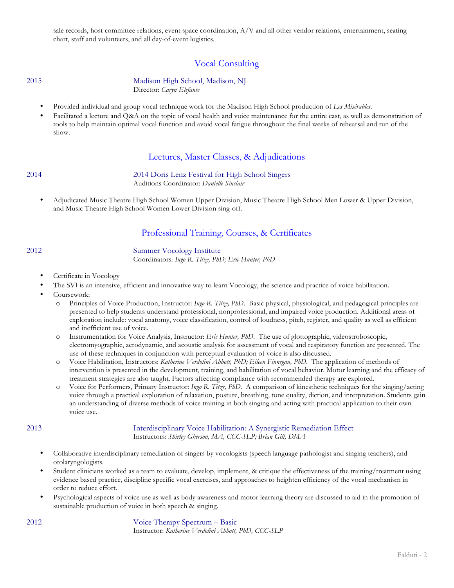sale records, host committee relations, event space coordination, A/V and all other vendor relations, entertainment, seating chart, staff and volunteers, and all day-of-event logistics.

# Vocal Consulting

2015 Madison High School, Madison, NJ Director: *Caryn Elefante*

- Provided individual and group vocal technique work for the Madison High School production of *Les Misérables*.
- Facilitated a lecture and Q&A on the topic of vocal health and voice maintenance for the entire cast, as well as demonstration of tools to help maintain optimal vocal function and avoid vocal fatigue throughout the final weeks of rehearsal and run of the show.

### Lectures, Master Classes, & Adjudications

2014 2014 Doris Lenz Festival for High School Singers Auditions Coordinator: *Danielle Sinclair*

• Adjudicated Music Theatre High School Women Upper Division, Music Theatre High School Men Lower & Upper Division, and Music Theatre High School Women Lower Division sing-off.

# Professional Training, Courses, & Certificates

### 2012 Summer Vocology Institute

Coordinators: *Ingo R. Titze, PhD; Eric Hunter, PhD*

- Certificate in Vocology
- The SVI is an intensive, efficient and innovative way to learn Vocology, the science and practice of voice habilitation.
- Coursework:
	- o Principles of Voice Production, Instructor: *Ingo R. Titze, PhD*. Basic physical, physiological, and pedagogical principles are presented to help students understand professional, nonprofessional, and impaired voice production. Additional areas of exploration include: vocal anatomy, voice classification, control of loudness, pitch, register, and quality as well as efficient and inefficient use of voice.
	- o Instrumentation for Voice Analysis, Instructor: *Eric Hunter, PhD*. The use of glottographic, videostroboscopic, electromyographic, aerodynamic, and acoustic analysis for assessment of vocal and respiratory function are presented. The use of these techniques in conjunction with perceptual evaluation of voice is also discussed.
	- o Voice Habilitation, Instructors: *Katherine Verdolini Abbott, PhD; Eileen Finnegan, PhD*. The application of methods of intervention is presented in the development, training, and habilitation of vocal behavior. Motor learning and the efficacy of treatment strategies are also taught. Factors affecting compliance with recommended therapy are explored.
	- o Voice for Performers, Primary Instructor: *Ingo R. Titze, PhD*. A comparison of kinesthetic techniques for the singing/acting voice through a practical exploration of relaxation, posture, breathing, tone quality, diction, and interpretation. Students gain an understanding of diverse methods of voice training in both singing and acting with practical application to their own voice use.

### 2013 Interdisciplinary Voice Habilitation: A Synergistic Remediation Effect Instructors: *Shirley Gherson, MA, CCC-SLP; Brian Gill, DMA*

- Collaborative interdisciplinary remediation of singers by vocologists (speech language pathologist and singing teachers), and otolaryngologists.
- Student clinicians worked as a team to evaluate, develop, implement, & critique the effectiveness of the training/treatment using evidence based practice, discipline specific vocal exercises, and approaches to heighten efficiency of the vocal mechanism in order to reduce effort.
- Psychological aspects of voice use as well as body awareness and motor learning theory are discussed to aid in the promotion of sustainable production of voice in both speech & singing.

2012 Voice Therapy Spectrum – Basic

Instructor: *Katherine Verdolini Abbott, PhD, CCC-SLP*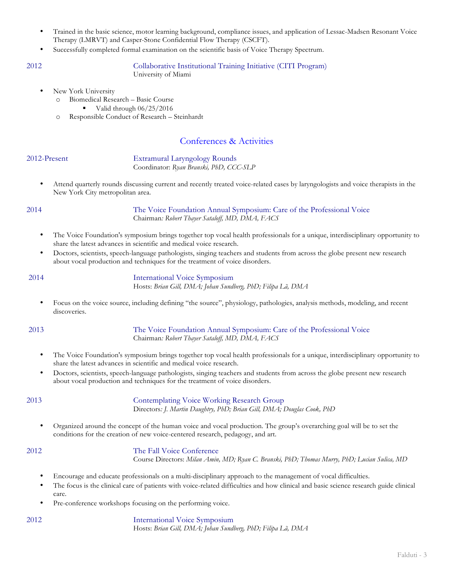- Trained in the basic science, motor learning background, compliance issues, and application of Lessac-Madsen Resonant Voice Therapy (LMRVT) and Casper-Stone Confidential Flow Therapy (CSCFT).
- Successfully completed formal examination on the scientific basis of Voice Therapy Spectrum.

2012 Collaborative Institutional Training Initiative (CITI Program) University of Miami

New York University

o Biomedical Research – Basic Course

Valid through  $06/25/2016$ 

o Responsible Conduct of Research – Steinhardt

# Conferences & Activities

2012-Present Extramural Laryngology Rounds Coordinator: *Ryan Branski, PhD, CCC-SLP*

• Attend quarterly rounds discussing current and recently treated voice-related cases by laryngologists and voice therapists in the New York City metropolitan area.

2014 The Voice Foundation Annual Symposium: Care of the Professional Voice Chairman*: Robert Thayer Sataloff, MD, DMA, FACS*

- The Voice Foundation's symposium brings together top vocal health professionals for a unique, interdisciplinary opportunity to share the latest advances in scientific and medical voice research.
- Doctors, scientists, speech-language pathologists, singing teachers and students from across the globe present new research about vocal production and techniques for the treatment of voice disorders.

2014 International Voice Symposium Hosts: *Brian Gill, DMA; Johan Sundberg, PhD; Filipa Lã, DMA*

• Focus on the voice source, including defining "the source", physiology, pathologies, analysis methods, modeling, and recent discoveries.

2013 The Voice Foundation Annual Symposium: Care of the Professional Voice Chairman*: Robert Thayer Sataloff, MD, DMA, FACS*

- The Voice Foundation's symposium brings together top vocal health professionals for a unique, interdisciplinary opportunity to share the latest advances in scientific and medical voice research.
- Doctors, scientists, speech-language pathologists, singing teachers and students from across the globe present new research about vocal production and techniques for the treatment of voice disorders.

2013 Contemplating Voice Working Research Group Directors*: J. Martin Daughtry, PhD; Brian Gill, DMA; Douglas Cook, PhD*

• Organized around the concept of the human voice and vocal production. The group's overarching goal will be to set the conditions for the creation of new voice-centered research, pedagogy, and art.

2012 The Fall Voice Conference Course Directors: *Milan Amin, MD; Ryan C. Branski, PhD; Thomas Murry, PhD; Lucian Sulica, MD*

- Encourage and educate professionals on a multi-disciplinary approach to the management of vocal difficulties.
- The focus is the clinical care of patients with voice-related difficulties and how clinical and basic science research guide clinical care.
- Pre-conference workshops focusing on the performing voice.

2012 International Voice Symposium Hosts: *Brian Gill, DMA; Johan Sundberg, PhD; Filipa Lã, DMA*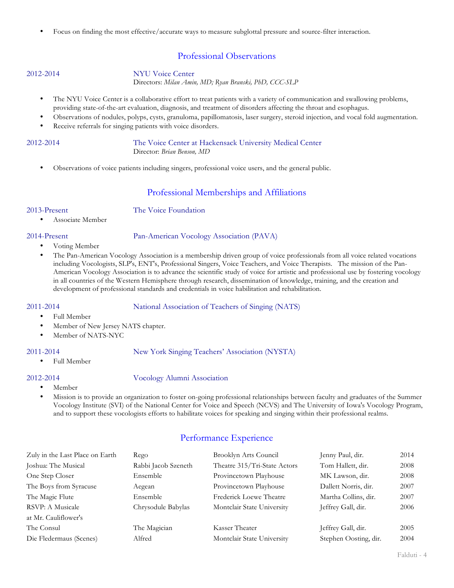• Focus on finding the most effective/accurate ways to measure subglottal pressure and source-filter interaction.

# Professional Observations

## 2012-2014 NYU Voice Center

Directors: *Milan Amin, MD; Ryan Branski, PhD, CCC-SLP*

- The NYU Voice Center is a collaborative effort to treat patients with a variety of communication and swallowing problems, providing state-of-the-art evaluation, diagnosis, and treatment of disorders affecting the throat and esophagus.
- Observations of nodules, polyps, cysts, granuloma, papillomatosis, laser surgery, steroid injection, and vocal fold augmentation.
- Receive referrals for singing patients with voice disorders.

2012-2014 The Voice Center at Hackensack University Medical Center Director: *Brian Benson, MD*

• Observations of voice patients including singers, professional voice users, and the general public.

# Professional Memberships and Affiliations

2013-Present The Voice Foundation

• Associate Member

### 2014-Present Pan-American Vocology Association (PAVA)

- Voting Member
- The Pan-American Vocology Association is a membership driven group of voice professionals from all voice related vocations including Vocologists, SLP's, ENT's, Professional Singers, Voice Teachers, and Voice Therapists. The mission of the Pan-American Vocology Association is to advance the scientific study of voice for artistic and professional use by fostering vocology in all countries of the Western Hemisphere through research, dissemination of knowledge, training, and the creation and development of professional standards and credentials in voice habilitation and rehabilitation.

2011-2014 National Association of Teachers of Singing (NATS)

- Full Member
- Member of New Jersey NATS chapter.
- Member of NATS-NYC

### 2011-2014 New York Singing Teachers' Association (NYSTA)

• Full Member

### 2012-2014 Vocology Alumni Association

- Member
- Mission is to provide an organization to foster on-going professional relationships between faculty and graduates of the Summer Vocology Institute (SVI) of the National Center for Voice and Speech (NCVS) and The University of Iowa's Vocology Program, and to support these vocologists efforts to habilitate voices for speaking and singing within their professional realms.

# Performance Experience

| Zuly in the Last Place on Earth | Rego                | Brooklyn Arts Council        | Jenny Paul, dir.      | 2014 |
|---------------------------------|---------------------|------------------------------|-----------------------|------|
| Joshua: The Musical             | Rabbi Jacob Szeneth | Theatre 315/Tri-State Actors | Tom Hallett, dir.     | 2008 |
| One Step Closer                 | Ensemble            | Provincetown Playhouse       | MK Lawson, dir.       | 2008 |
| The Boys from Syracuse          | Aegean              | Provincetown Playhouse       | Dallett Norris, dir.  | 2007 |
| The Magic Flute                 | Ensemble            | Frederick Loewe Theatre      | Martha Collins, dir.  | 2007 |
| RSVP: A Musicale                | Chrysodule Babylas  | Montclair State University   | Jeffrey Gall, dir.    | 2006 |
| at Mr. Cauliflower's            |                     |                              |                       |      |
| The Consul                      | The Magician        | Kasser Theater               | Jeffrey Gall, dir.    | 2005 |
| Die Fledermaus (Scenes)         | Alfred              | Montclair State University   | Stephen Oosting, dir. | 2004 |